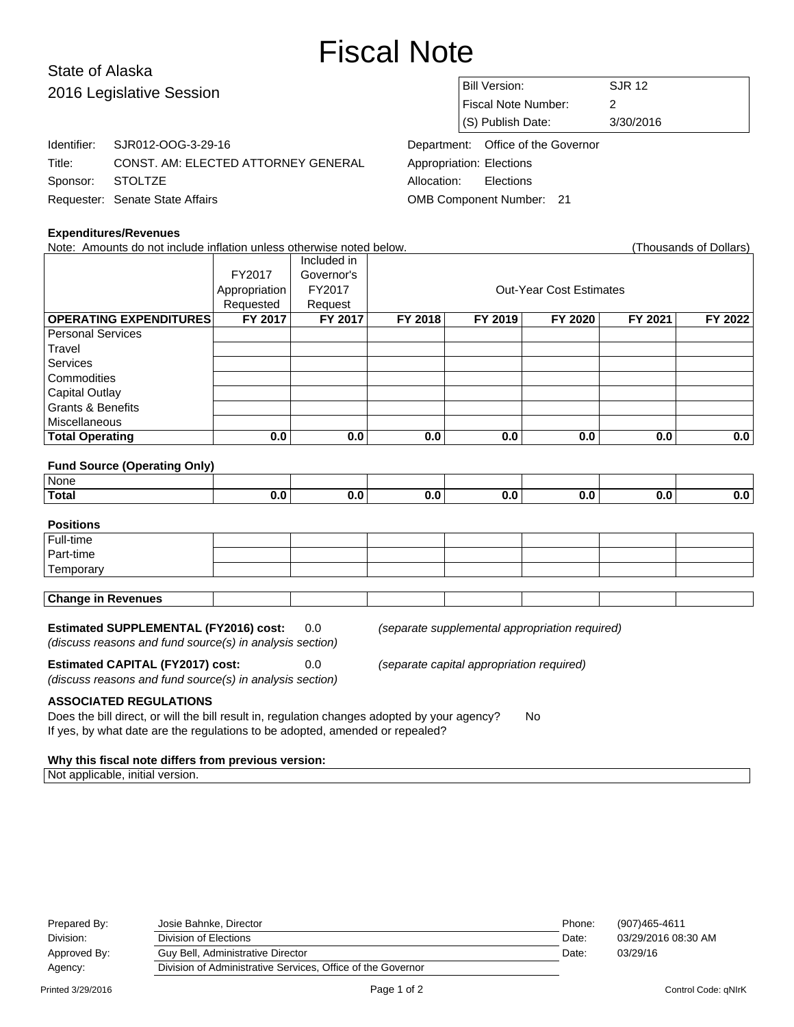# Fiscal Note

# State of Alaska 2016 Legislative Session

Identifier: SJR012-OOG-3-29-16

Requester: Senate State Affairs

| <b>Bill Version:</b>      | S.JR 12   |
|---------------------------|-----------|
| Fiscal Note Number:       |           |
| $\vert$ (S) Publish Date: | 3/30/2016 |

Department: Office of the Governor Appropriation: Elections Allocation: Elections OMB Component Number: 21

### **Expenditures/Revenues**

Sponsor: STOLTZE

Note: Amounts do not include inflation unless otherwise noted below. Thousands of Dollars (Thousands of Dollars)

Title: CONST. AM: ELECTED ATTORNEY GENERAL

| <b>THOGOGHOO OF DOMAIO</b>    |               |             |                                |         |         |         |         |  |
|-------------------------------|---------------|-------------|--------------------------------|---------|---------|---------|---------|--|
|                               |               | Included in |                                |         |         |         |         |  |
|                               | FY2017        | Governor's  |                                |         |         |         |         |  |
|                               | Appropriation | FY2017      | <b>Out-Year Cost Estimates</b> |         |         |         |         |  |
|                               | Requested     | Request     |                                |         |         |         |         |  |
| <b>OPERATING EXPENDITURES</b> | FY 2017       | FY 2017     | FY 2018                        | FY 2019 | FY 2020 | FY 2021 | FY 2022 |  |
| <b>Personal Services</b>      |               |             |                                |         |         |         |         |  |
| Travel                        |               |             |                                |         |         |         |         |  |
| <b>Services</b>               |               |             |                                |         |         |         |         |  |
| Commodities                   |               |             |                                |         |         |         |         |  |
| <b>Capital Outlay</b>         |               |             |                                |         |         |         |         |  |
| <b>Grants &amp; Benefits</b>  |               |             |                                |         |         |         |         |  |
| <b>Miscellaneous</b>          |               |             |                                |         |         |         |         |  |
| <b>Total Operating</b>        | 0.0           | 0.0         | 0.0                            | 0.0     | 0.0     | 0.0     | 0.0     |  |

#### **Fund Source (Operating Only)**

| <sup>⊥</sup> None. |  |  |  |  |
|--------------------|--|--|--|--|
| <b>Total</b>       |  |  |  |  |

# **Positions** Full-time Part-time **Temporary Change in Revenues**

## **Estimated SUPPLEMENTAL (FY2016) cost:** 0.0 (separate supplemental appropriation required)

(discuss reasons and fund source(s) in analysis section)

**Estimated CAPITAL (FY2017) cost:** 0.0 (separate capital appropriation required)

(discuss reasons and fund source(s) in analysis section)

**ASSOCIATED REGULATIONS**

Does the bill direct, or will the bill result in, regulation changes adopted by your agency? No If yes, by what date are the regulations to be adopted, amended or repealed?

#### **Why this fiscal note differs from previous version:**

Not applicable, initial version.

| Prepared By:<br>Division: | Josie Bahnke, Director<br>Division of Elections             | Phone:<br>Date: | (907)465-4611<br>03/29/2016 08:30 AM |
|---------------------------|-------------------------------------------------------------|-----------------|--------------------------------------|
| Approved By:              | Guy Bell, Administrative Director                           | Date:           | 03/29/16                             |
| Agency:                   | Division of Administrative Services, Office of the Governor |                 |                                      |
|                           |                                                             |                 |                                      |